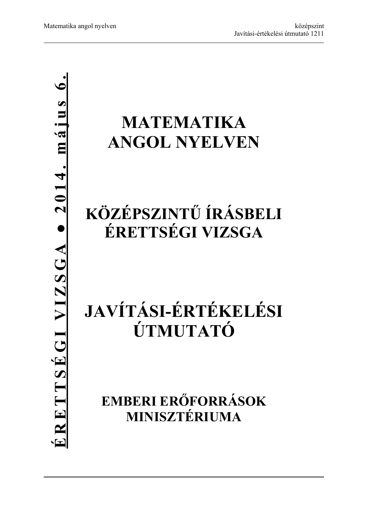## **MATEMATIKA ANGOL NYELVEN**

## **KÖZÉPSZINTŰ ÍRÁSBELI ÉRETTSÉGI VIZSGA**

# **JAVÍTÁSI-ÉRTÉKELÉSI ÚTMUTATÓ**

**EMBERI ERŐFORRÁSOK MINISZTÉRIUMA**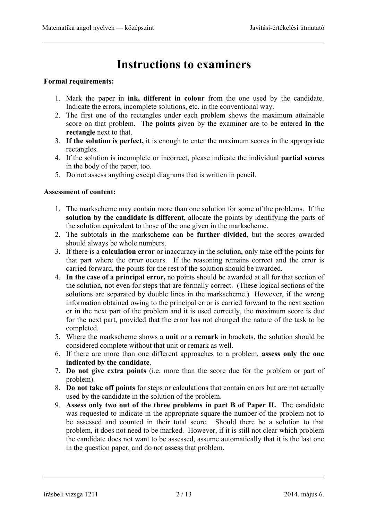## **Instructions to examiners**

#### **Formal requirements:**

- 1. Mark the paper in **ink, different in colour** from the one used by the candidate. Indicate the errors, incomplete solutions, etc. in the conventional way.
- 2. The first one of the rectangles under each problem shows the maximum attainable score on that problem. The **points** given by the examiner are to be entered **in the rectangle** next to that.
- 3. **If the solution is perfect,** it is enough to enter the maximum scores in the appropriate rectangles.
- 4. If the solution is incomplete or incorrect, please indicate the individual **partial scores** in the body of the paper, too.
- 5. Do not assess anything except diagrams that is written in pencil.

#### **Assessment of content:**

- 1. The markscheme may contain more than one solution for some of the problems. If the **solution by the candidate is different**, allocate the points by identifying the parts of the solution equivalent to those of the one given in the markscheme.
- 2. The subtotals in the markscheme can be **further divided**, but the scores awarded should always be whole numbers.
- 3. If there is a **calculation error** or inaccuracy in the solution, only take off the points for that part where the error occurs. If the reasoning remains correct and the error is carried forward, the points for the rest of the solution should be awarded.
- 4. **In the case of a principal error,** no points should be awarded at all for that section of the solution, not even for steps that are formally correct. (These logical sections of the solutions are separated by double lines in the markscheme.) However, if the wrong information obtained owing to the principal error is carried forward to the next section or in the next part of the problem and it is used correctly, the maximum score is due for the next part, provided that the error has not changed the nature of the task to be completed.
- 5. Where the markscheme shows a **unit** or a **remark** in brackets, the solution should be considered complete without that unit or remark as well.
- 6. If there are more than one different approaches to a problem, **assess only the one indicated by the candidate**.
- 7. **Do not give extra points** (i.e. more than the score due for the problem or part of problem).
- 8. **Do not take off points** for steps or calculations that contain errors but are not actually used by the candidate in the solution of the problem.
- 9. **Assess only two out of the three problems in part B of Paper II.** The candidate was requested to indicate in the appropriate square the number of the problem not to be assessed and counted in their total score. Should there be a solution to that problem, it does not need to be marked. However, if it is still not clear which problem the candidate does not want to be assessed, assume automatically that it is the last one in the question paper, and do not assess that problem.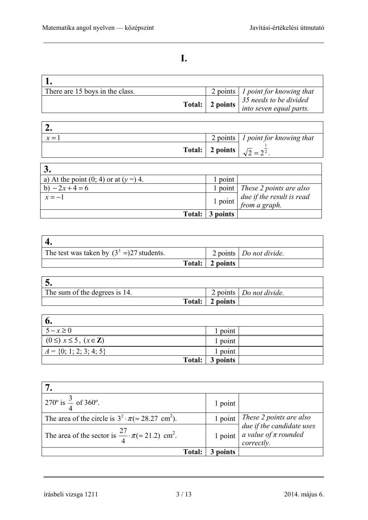| ۰. |  |
|----|--|
|    |  |
| I  |  |

| There are 15 boys in the class. |                   | 2 points   1 point for knowing that |
|---------------------------------|-------------------|-------------------------------------|
|                                 | Total:   2 points | 35 needs to be divided              |
|                                 |                   | into seven equal parts.             |

| –∙    |                                                |                                           |
|-------|------------------------------------------------|-------------------------------------------|
| $x =$ |                                                | 2 points $\vert$ 1 point for knowing that |
|       | Total: 2 points $\sqrt{2} = 2^{\frac{1}{2}}$ . |                                           |

| a) At the point $(0, 4)$ or at $(y=)$ 4. | point     |                                            |
|------------------------------------------|-----------|--------------------------------------------|
| b) $-2x+4=6$                             |           | 1 point   These 2 points are also          |
| $x=-1$                                   | $1$ point | due if the result is read<br>from a graph. |
| Total:                                   | 3 points  |                                            |

| The test was taken by $(3^3 =)27$ students. |                 | 2 points   Do not divide. |
|---------------------------------------------|-----------------|---------------------------|
|                                             | Total: 2 points |                           |

| The sum of the degrees is 14. |                 | 2 points Do not divide. |
|-------------------------------|-----------------|-------------------------|
|                               | Total: 2 points |                         |

| o.                                           |                 |
|----------------------------------------------|-----------------|
| $5-x\geq 0$                                  | point           |
| $(0 \leq)$ $x \leq 5$ , $(x \in \mathbb{Z})$ | 1 point         |
| $A = \{0; 1; 2; 3; 4; 5\}$                   | point           |
|                                              | Total: 3 points |

| 270° is $\frac{3}{4}$ of 360°.                                                    | 1 point       |                                                                                                                     |
|-----------------------------------------------------------------------------------|---------------|---------------------------------------------------------------------------------------------------------------------|
| The area of the circle is $3^2 \cdot \pi \approx 28.27$ cm <sup>2</sup> ).        | 1 point       | $\begin{array}{ l l } \hline \text{These 2 points are also} \\ \hline \text{due if the candidate uses} \end{array}$ |
| The area of the sector is $\frac{27}{4} \cdot \pi \approx 21.2$ cm <sup>2</sup> . | 1 point       | $\int a \text{ value of } \pi \text{ rounded}$<br>correctly.                                                        |
| <b>Total:</b>                                                                     | <i>noints</i> |                                                                                                                     |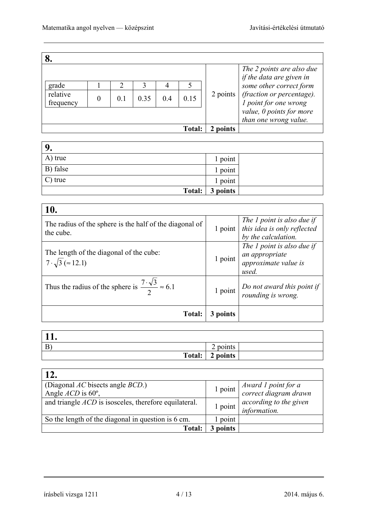|                       |          |    |      |        |          | The 2 points are also due<br>if the data are given in     |
|-----------------------|----------|----|------|--------|----------|-----------------------------------------------------------|
| grade                 |          |    |      |        |          | some other correct form                                   |
| relative<br>frequency | $\theta$ | 01 | 0.35 | 0.15   | 2 points | (fraction or percentage).<br><i>l</i> point for one wrong |
|                       |          |    |      |        |          | value, 0 points for more<br>than one wrong value.         |
|                       |          |    |      | Total: | points   |                                                           |

| 9.       |          |  |
|----------|----------|--|
| A) true  | 1 point  |  |
| B) false | 1 point  |  |
| C) true  | 1 point  |  |
| Total:   | 3 points |  |

| 10.                                                                           |          |                                                                                  |
|-------------------------------------------------------------------------------|----------|----------------------------------------------------------------------------------|
| The radius of the sphere is the half of the diagonal of<br>the cube.          | 1 point  | The 1 point is also due if<br>this idea is only reflected<br>by the calculation. |
| The length of the diagonal of the cube:<br>$7\cdot\sqrt{3}$ ( $\approx$ 12.1) | 1 point  | The 1 point is also due if<br>an appropriate<br>approximate value is<br>used.    |
| Thus the radius of the sphere is $\frac{7 \cdot \sqrt{3}}{2} \approx 6.1$     | 1 point  | Do not award this point if<br>rounding is wrong.                                 |
| Total:                                                                        | 3 points |                                                                                  |

| $\mathbf{B}$ | ⌒<br>points<br>⊷ |
|--------------|------------------|
| Total:       | 2 points         |

| 12.                                                                     |          |                                                                  |
|-------------------------------------------------------------------------|----------|------------------------------------------------------------------|
| (Diagonal $AC$ bisects angle $BCD$ .)<br>Angle $ACD$ is 60 $^{\circ}$ , |          | $\frac{1 \text{ point}}{\text{correct diagram drawn}}$           |
| and triangle <i>ACD</i> is isosceles, therefore equilateral.            |          | $\boxed{1 \text{ point}}$ according to the given<br>information. |
| So the length of the diagonal in question is 6 cm.                      | point    |                                                                  |
| Total:                                                                  | 3 points |                                                                  |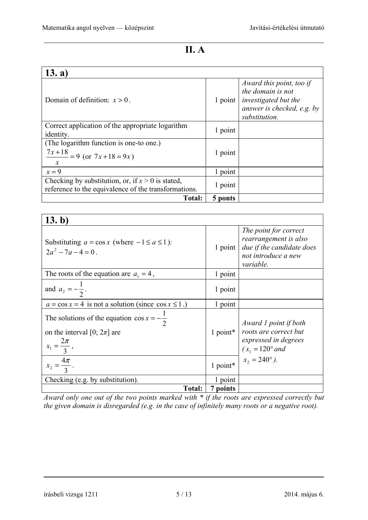$\overline{a}$ 

### **II. A**

| 13. a)                                                                                                            |               |                                                                                                                             |
|-------------------------------------------------------------------------------------------------------------------|---------------|-----------------------------------------------------------------------------------------------------------------------------|
| Domain of definition: $x > 0$ .                                                                                   | $1$ point $ $ | Award this point, too if<br>the domain is not<br><i>investigated but the</i><br>answer is checked, e.g. by<br>substitution. |
| Correct application of the appropriate logarithm<br>identity.                                                     | 1 point       |                                                                                                                             |
| (The logarithm function is one-to one.)<br>$\frac{7x+18}{2} = 9$ (or $7x+18 = 9x$ )<br>$\boldsymbol{\mathcal{X}}$ | 1 point       |                                                                                                                             |
| $x = 9$                                                                                                           | 1 point       |                                                                                                                             |
| Checking by substitution, or, if $x > 0$ is stated,<br>reference to the equivalence of the transformations.       | 1 point       |                                                                                                                             |
| <b>Total:</b>                                                                                                     | 5 ponts       |                                                                                                                             |

| 13. b)                                                                                                                |            |                                                                                                                 |
|-----------------------------------------------------------------------------------------------------------------------|------------|-----------------------------------------------------------------------------------------------------------------|
| Substituting $a = \cos x$ (where $-1 \le a \le 1$ ):<br>$2a^2 - 7a - 4 = 0$ .                                         | $1$ point  | The point for correct<br>rearrangement is also<br>due if the candidate does<br>not introduce a new<br>variable. |
| The roots of the equation are $a_1 = 4$ ,                                                                             | 1 point    |                                                                                                                 |
| and $a_2 = -\frac{1}{2}$ .                                                                                            | 1 point    |                                                                                                                 |
| $a = \cos x = 4$ is not a solution (since $\cos x \le 1$ .)                                                           | 1 point    |                                                                                                                 |
| The solutions of the equation $\cos x = -\frac{1}{2}$<br>on the interval [0; $2\pi$ ] are<br>$x_1 = \frac{2\pi}{3}$ , | $1$ point* | Award 1 point if both<br>roots are correct but<br>expressed in degrees<br>$(x_1 = 120^\circ$ and                |
| $x_2 = \frac{4\pi}{3}$ .                                                                                              | 1 point*   | $x_2 = 240^\circ$ ).                                                                                            |
| Checking (e.g. by substitution).                                                                                      | 1 point    |                                                                                                                 |
| <b>Total:</b>                                                                                                         | 7 points   |                                                                                                                 |

*Award only one out of the two points marked with \* if the roots are expressed correctly but the given domain is disregarded (e.g. in the case of infinitely many roots or a negative root).*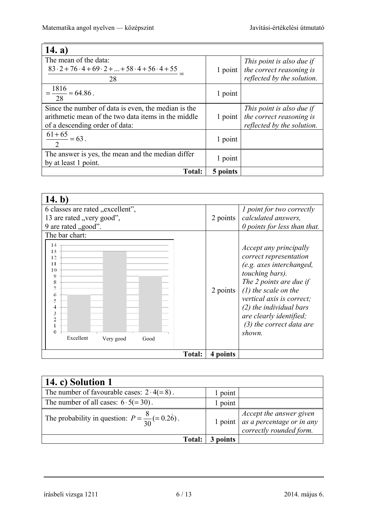| 14. a)                                                                                                                                       |             |                                                                                     |
|----------------------------------------------------------------------------------------------------------------------------------------------|-------------|-------------------------------------------------------------------------------------|
| The mean of the data:<br>$83 \cdot 2 + 76 \cdot 4 + 69 \cdot 2 +  + 58 \cdot 4 + 56 \cdot 4 + 55$                                            |             | This point is also due if                                                           |
| 28                                                                                                                                           | $1$ point   | the correct reasoning is<br>reflected by the solution.                              |
| $=\frac{1816}{28} \approx 64.86$ .                                                                                                           | 1 point     |                                                                                     |
| Since the number of data is even, the median is the<br>arithmetic mean of the two data items in the middle<br>of a descending order of data: | 1 point $ $ | This point is also due if<br>the correct reasoning is<br>reflected by the solution. |
| $\frac{61+65}{2} = 63$ .                                                                                                                     | 1 point     |                                                                                     |
| The answer is yes, the mean and the median differ<br>by at least 1 point.                                                                    | 1 point     |                                                                                     |
| <b>Total:</b>                                                                                                                                | 5 points    |                                                                                     |

| 14. b)                                                                                     |               |          |                                                                                                                                                                                                                                                                                          |
|--------------------------------------------------------------------------------------------|---------------|----------|------------------------------------------------------------------------------------------------------------------------------------------------------------------------------------------------------------------------------------------------------------------------------------------|
| 6 classes are rated "excellent",<br>13 are rated "very good",<br>9 are rated "good".       |               | 2 points | <i>l</i> point for two correctly<br>calculated answers,<br>$\theta$ points for less than that.                                                                                                                                                                                           |
| The bar chart:                                                                             |               |          |                                                                                                                                                                                                                                                                                          |
| 14<br>13<br>12<br>11<br>10<br>9<br>8<br>6<br>5<br>3<br>0<br>Excellent<br>Very good<br>Good |               | 2 points | <i>Accept any principally</i><br>correct representation<br>(e.g. axes interchanged,<br>touching bars).<br>The 2 points are due if<br>$(1)$ the scale on the<br>vertical axis is correct;<br>$(2)$ the individual bars<br>are clearly identified;<br>$(3)$ the correct data are<br>shown. |
|                                                                                            | <b>Total:</b> | 4 points |                                                                                                                                                                                                                                                                                          |

| 14. c) Solution 1                                          |          |                                                                                                                      |
|------------------------------------------------------------|----------|----------------------------------------------------------------------------------------------------------------------|
| The number of favourable cases: $2 \cdot 4 (= 8)$ .        | 1 point  |                                                                                                                      |
| The number of all cases: $6 \cdot 5 (= 30)$ .              | l point  |                                                                                                                      |
| The probability in question: $P = \frac{8}{30} (= 0.26)$ . |          | 1 point <i>Accept the answer given</i><br>1 point <i>as a percentage or in any</i><br><i>correctly rounded form.</i> |
| <b>Total:</b>                                              | 3 points |                                                                                                                      |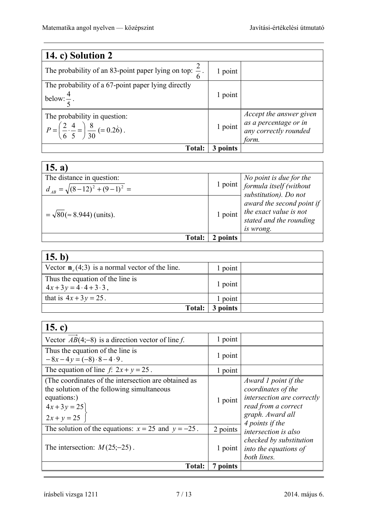| 14. c) Solution 2                                                                                         |          |                                                                                    |
|-----------------------------------------------------------------------------------------------------------|----------|------------------------------------------------------------------------------------|
| The probability of an 83-point paper lying on top: $\frac{2}{6}$ .                                        | 1 point  |                                                                                    |
| The probability of a 67-point paper lying directly<br>below: $\frac{1}{x}$ .                              | 1 point  |                                                                                    |
| The probability in question:<br>$P = \left(\frac{2}{6} \cdot \frac{4}{5} = \right) \frac{8}{30} = 0.26$ . | 1 point  | Accept the answer given<br>as a percentage or in<br>any correctly rounded<br>form. |
| <b>Total:</b>                                                                                             | 3 points |                                                                                    |

| 15. a)                                                              |          |                                                                                                                  |
|---------------------------------------------------------------------|----------|------------------------------------------------------------------------------------------------------------------|
| The distance in question:<br>$d_{AB} = \sqrt{(8-12)^2 + (9-1)^2} =$ |          | $\begin{array}{c} \text{1 point} \\ \text{1 point} \end{array}$ No point is due for the<br>substitution). Do not |
| $=\sqrt{80}$ ( $\approx$ 8.944) (units).                            |          | award the second point if<br>1 point $\int$ the exact value is not<br>stated and the rounding<br>is wrong.       |
| Total:                                                              | 2 points |                                                                                                                  |

| 15. b)                                                                |          |  |
|-----------------------------------------------------------------------|----------|--|
| Vector $\mathbf{n}_{e}(4,3)$ is a normal vector of the line.          | 1 point  |  |
| Thus the equation of the line is<br>$4x+3y = 4 \cdot 4 + 3 \cdot 3$ , | 1 point  |  |
| that is $4x + 3y = 25$ .                                              | 1 point  |  |
| <b>Total:</b>                                                         | 3 points |  |

| 15. c)                                                                                                                                          |          |                                                                                                                                        |
|-------------------------------------------------------------------------------------------------------------------------------------------------|----------|----------------------------------------------------------------------------------------------------------------------------------------|
| Vector $AB(4,-8)$ is a direction vector of line f.                                                                                              | 1 point  |                                                                                                                                        |
| Thus the equation of the line is<br>$-8x-4y=(-8)\cdot 8-4\cdot 9$ .                                                                             | 1 point  |                                                                                                                                        |
| The equation of line $f: 2x + y = 25$ .                                                                                                         | 1 point  |                                                                                                                                        |
| (The coordinates of the intersection are obtained as<br>the solution of the following simultaneous<br>equations:)<br>$4x+3y = 25$ $2x + y = 25$ | 1 point  | Award 1 point if the<br>coordinates of the<br>intersection are correctly<br>read from a correct<br>graph. Award all<br>4 points if the |
| The solution of the equations: $x = 25$ and $y = -25$ .                                                                                         | 2 points | intersection is also                                                                                                                   |
| The intersection: $M(25, -25)$ .                                                                                                                | 1 point  | checked by substitution<br>into the equations of<br>both lines.                                                                        |
| <b>Total:</b>                                                                                                                                   | 7 points |                                                                                                                                        |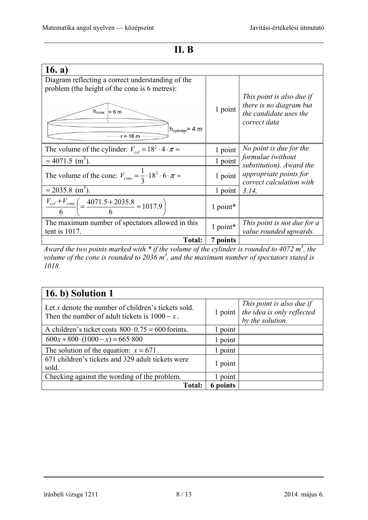### **II. B**

| 16. a)                                                                                |          |                                                                                                |
|---------------------------------------------------------------------------------------|----------|------------------------------------------------------------------------------------------------|
| Diagram reflecting a correct understanding of the                                     |          |                                                                                                |
| problem (the height of the cone is 6 metres):                                         |          |                                                                                                |
| $h_{cone}$ = 6 m<br>$h_{cylinder} = 4 m$<br>$\cdots$ $r = -18$ m                      | 1 point  | This point is also due if<br>there is no diagram but<br>the candidate uses the<br>correct data |
| The volume of the cylinder: $V_{cvl} = 18^2 \cdot 4 \cdot \pi \approx$                | 1 point  | No point is due for the                                                                        |
| $\approx 4071.5$ (m <sup>3</sup> ).                                                   | 1 point  | formulae (without<br>substitution). Award the                                                  |
| The volume of the cone: $V_{cone} = \frac{1}{3} \cdot 18^2 \cdot 6 \cdot \pi \approx$ | 1 point  | appropriate points for<br>correct calculation with                                             |
| $\approx$ 2035.8 (m <sup>3</sup> ).                                                   | 1 point  | 3.14.                                                                                          |
| $\frac{V_{cyl} + V_{cone}}{6} = \frac{4071.5 + 2035.8}{6} \approx 1017.9$             | 1 point* |                                                                                                |
| The maximum number of spectators allowed in this<br>tent is $1017$ .                  | 1 point* | This point is not due for a<br>value rounded upwards.                                          |
| <b>Total:</b>                                                                         | 7 points |                                                                                                |

*Award the two points marked with \* if the volume of the cylinder is rounded to 4072 m<sup>3</sup>, the* volume of the cone is rounded to 2036 m<sup>3</sup>, and the maximum number of spectators stated is *1018.* 

| 16. b) Solution 1                                                                                       |                 |                                                                             |  |
|---------------------------------------------------------------------------------------------------------|-----------------|-----------------------------------------------------------------------------|--|
| Let x denote the number of children's tickets sold.<br>Then the number of adult tickets is $1000 - x$ . | $1$ point $ $   | This point is also due if<br>the idea is only reflected<br>by the solution. |  |
| A children's ticket costs $800 \cdot 0.75 = 600$ forints.                                               | 1 point         |                                                                             |  |
| $600x + 800 \cdot (1000 - x) = 665800$                                                                  | 1 point         |                                                                             |  |
| The solution of the equation: $x = 671$ .                                                               | 1 point         |                                                                             |  |
| 671 children's tickets and 329 adult tickets were<br>sold.                                              | 1 point         |                                                                             |  |
| Checking against the wording of the problem.                                                            | 1 point         |                                                                             |  |
| Total:                                                                                                  | <b>6</b> points |                                                                             |  |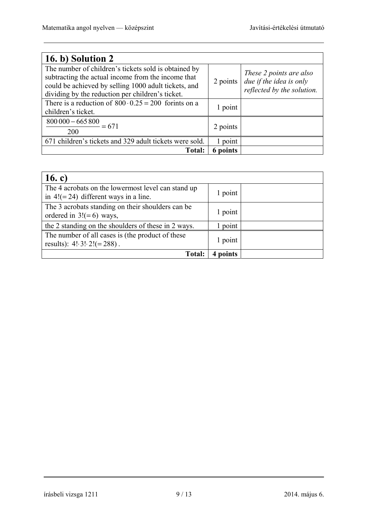| 16. b) Solution 2                                                                                                                                                                                                      |                    |                                                                                  |
|------------------------------------------------------------------------------------------------------------------------------------------------------------------------------------------------------------------------|--------------------|----------------------------------------------------------------------------------|
| The number of children's tickets sold is obtained by<br>subtracting the actual income from the income that<br>could be achieved by selling 1000 adult tickets, and<br>dividing by the reduction per children's ticket. | $2$ points $\vert$ | These 2 points are also<br>due if the idea is only<br>reflected by the solution. |
| There is a reduction of $800 \cdot 0.25 = 200$ forints on a<br>children's ticket.                                                                                                                                      | 1 point            |                                                                                  |
| $\frac{800000 - 665800}{0} = 671$<br>200                                                                                                                                                                               | 2 points           |                                                                                  |
| 671 children's tickets and 329 adult tickets were sold.                                                                                                                                                                | 1 point            |                                                                                  |
| <b>Total:</b>                                                                                                                                                                                                          | 6 points           |                                                                                  |

| 16. c)                                                                                         |         |  |
|------------------------------------------------------------------------------------------------|---------|--|
| The 4 acrobats on the lowermost level can stand up<br>in $4! (= 24)$ different ways in a line. | 1 point |  |
| The 3 acrobats standing on their shoulders can be<br>ordered in $3! (= 6)$ ways,               | 1 point |  |
| the 2 standing on the shoulders of these in 2 ways.                                            | 1 point |  |
| The number of all cases is (the product of these<br>results): $4! \cdot 3! \cdot 2! (= 288)$ . | 1 point |  |
| Total:                                                                                         | points  |  |

### írásbeli vizsga 1211 9 / 13 2014. május 6.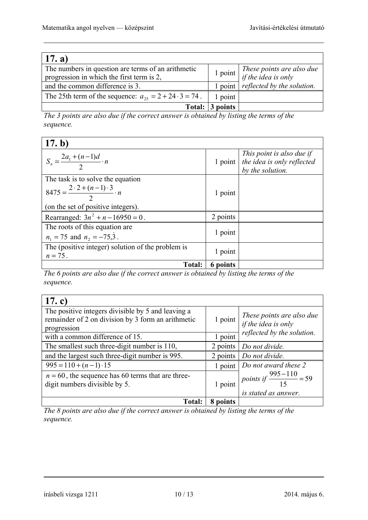| 17. a)                                                                                          |          |                                                  |
|-------------------------------------------------------------------------------------------------|----------|--------------------------------------------------|
| The numbers in question are terms of an arithmetic<br>progression in which the first term is 2, | 1 point  | These points are also due<br>if the idea is only |
| and the common difference is 3.                                                                 | point    | reflected by the solution.                       |
| The 25th term of the sequence: $a_{25} = 2 + 24 \cdot 3 = 74$ .                                 | 1 point  |                                                  |
| Total:                                                                                          | 3 points |                                                  |

*The 3 points are also due if the correct answer is obtained by listing the terms of the sequence.* 

| 17. b)                                                          |          |                                                                                         |
|-----------------------------------------------------------------|----------|-----------------------------------------------------------------------------------------|
| $S_n = \frac{2a_1 + (n-1)d}{2} \cdot n$                         |          | This point is also due if<br>1 point $ $ the idea is only reflected<br>by the solution. |
| The task is to solve the equation                               |          |                                                                                         |
| $8475 = \frac{2 \cdot 2 + (n-1) \cdot 3}{2} \cdot n$            | 1 point  |                                                                                         |
| (on the set of positive integers).                              |          |                                                                                         |
| Rearranged: $3n^2 + n - 16950 = 0$ .                            | 2 points |                                                                                         |
| The roots of this equation are                                  |          |                                                                                         |
| $n_1 = 75$ and $n_2 = -75.3$ .                                  | 1 point  |                                                                                         |
| The (positive integer) solution of the problem is<br>$n = 75$ . | 1 point  |                                                                                         |
| <b>Total:</b>                                                   | 6 points |                                                                                         |

*The 6 points are also due if the correct answer is obtained by listing the terms of the sequence.* 

| 17. c)                                                                                                   |          |                                                             |
|----------------------------------------------------------------------------------------------------------|----------|-------------------------------------------------------------|
| The positive integers divisible by 5 and leaving a<br>remainder of 2 on division by 3 form an arithmetic | 1 point  | These points are also due                                   |
| progression                                                                                              |          | if the idea is only                                         |
| with a common difference of 15.                                                                          | 1 point  | reflected by the solution.                                  |
| The smallest such three-digit number is 110,                                                             | 2 points | Do not divide.                                              |
| and the largest such three-digit number is 995.                                                          | 2 points | Do not divide.                                              |
| $995 = 110 + (n-1) \cdot 15$                                                                             | 1 point  | Do not award these 2                                        |
| $n = 60$ , the sequence has 60 terms that are three-<br>digit numbers divisible by 5.                    | 1 point  | points if $\frac{995-110}{15} = 59$<br>is stated as answer. |
| <b>Total:</b>                                                                                            | 8 points |                                                             |

*The 8 points are also due if the correct answer is obtained by listing the terms of the sequence.*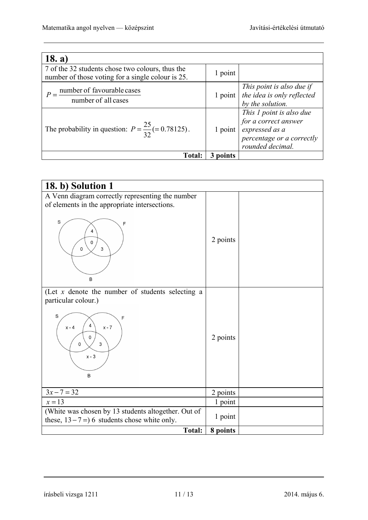| 18. a)                                                                                                |         |                                                                                                                     |
|-------------------------------------------------------------------------------------------------------|---------|---------------------------------------------------------------------------------------------------------------------|
| 7 of the 32 students chose two colours, thus the<br>number of those voting for a single colour is 25. | 1 point |                                                                                                                     |
| number of favourable cases<br>number of all cases                                                     | 1 point | This point is also due if<br>the idea is only reflected<br>by the solution.                                         |
| The probability in question: $P = \frac{25}{32} (= 0.78125)$ .                                        | 1 point | This 1 point is also due<br>for a correct answer<br>expressed as a<br>percentage or a correctly<br>rounded decimal. |
| <b>Total:</b>                                                                                         | points  |                                                                                                                     |

| 18. b) Solution 1                                                                                                                                              |          |  |
|----------------------------------------------------------------------------------------------------------------------------------------------------------------|----------|--|
| A Venn diagram correctly representing the number<br>of elements in the appropriate intersections.<br>S<br>F<br>4<br>0<br>3<br>0<br>B                           | 2 points |  |
| (Let $x$ denote the number of students selecting a<br>particular colour.)<br>S<br>F<br>4<br>$x - 4$<br>$x - 7$<br>0<br>$\mathsf 3$<br>0<br>$\times$ - $3$<br>B | 2 points |  |
| $3x - 7 = 32$                                                                                                                                                  | 2 points |  |
| $x=13$                                                                                                                                                         | 1 point  |  |
| (White was chosen by 13 students altogether. Out of<br>these, $13-7=$ ) 6 students chose white only.                                                           | 1 point  |  |
| <b>Total:</b>                                                                                                                                                  | 8 points |  |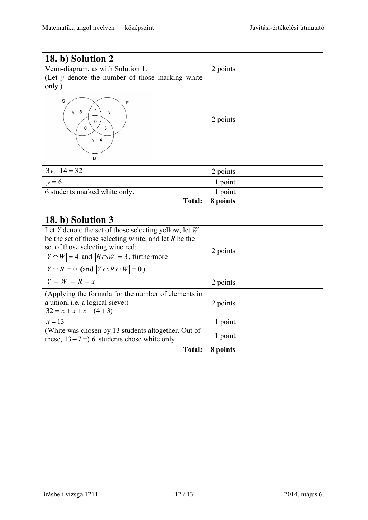| 18. b) Solution 2                                                                                                         |          |  |
|---------------------------------------------------------------------------------------------------------------------------|----------|--|
| Venn-diagram, as with Solution 1.                                                                                         | 2 points |  |
| (Let $y$ denote the number of those marking white<br>only.)<br>S<br>F<br>4<br>$y + 3$<br>y<br>0<br>3<br>0<br>$y + 4$<br>В | 2 points |  |
| $3y+14=32$                                                                                                                | 2 points |  |
| $y=6$                                                                                                                     | 1 point  |  |
| 6 students marked white only.                                                                                             | 1 point  |  |
| Total:                                                                                                                    | 8 points |  |

| 18. b) Solution 3                                                                                                                                                                                                                                                 |          |  |
|-------------------------------------------------------------------------------------------------------------------------------------------------------------------------------------------------------------------------------------------------------------------|----------|--|
| Let Y denote the set of those selecting yellow, let $W$<br>be the set of those selecting white, and let $R$ be the<br>set of those selecting wine red:<br>$ Y \cap W  = 4$ and $ R \cap W  = 3$ , furthermore<br>$ Y \cap R  = 0$ (and $ Y \cap R \cap W  = 0$ ). | 2 points |  |
| $ Y  =  W  =  R  = x$                                                                                                                                                                                                                                             | 2 points |  |
| (Applying the formula for the number of elements in<br>a union, <i>i.e.</i> a logical sieve:)<br>$32 = x + x + x - (4 + 3)$                                                                                                                                       | 2 points |  |
| $x = 13$                                                                                                                                                                                                                                                          | 1 point  |  |
| (White was chosen by 13 students altogether. Out of<br>these, $13-7=$ ) 6 students chose white only.                                                                                                                                                              | 1 point  |  |
| <b>Total:</b>                                                                                                                                                                                                                                                     | 8 points |  |